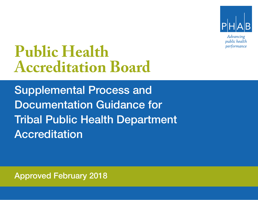

Advancing public health performance

# **Public Health Accreditation Board Public Health Accreditation Board**

Documentation Guidance for **Public Health Department of the Second Line Community of the Community of the Community of the Community of the Co<br>Public Health Department of the Community of the Community of the Community of the Community of the Commun** Supplemental Process and Documentation Guidance for Tribal Public Health Department Accreditation

**Example 2018**<br>Reaccredit at the Approved February 2018 Approved February 2018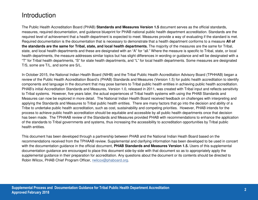# **Introduction**

The Public Health Accreditation Board (PHAB) **Standards and Measures Version 1.5** document serves as the official standards, measures, required documentation, and guidance blueprint for PHAB national public health department accreditation. Standards are the required level of achievement that a health department is expected to meet. Measures provide a way of evaluating if the standard is met. Required documentation is the documentation that is necessary to demonstrate that a health department conforms to a measure **All of the standards are the same for Tribal, state, and local health departments.** The majority of the measures are the same for Tribal, state, and local health departments and these are designated with an "A" for "all." Where the measure is specific to Tribal, state, or local health departments, the measure addresses similar topics but has slight differences in wording or guidance and will be designated with a "T" for Tribal health departments, "S" for state health departments, and "L" for local health departments. Some measures are designated T/S, some are T/L, and some are S/L.

In October 2015, the National Indian Health Board (NIHB) and the Tribal Public Health Accreditation Advisory Board (TPHHAB) began a review of the Public Health Accreditation Board's (PHAB) Standards and Measures (Version 1.5) for public health accreditation to identify components and language in the document that may pose barriers to Tribal public health entities in achieving public health accreditation. PHAB's initial Accreditation Standards and Measures, Version 1.0, released in 2011, was created with Tribal input and reflects sensitivity to Tribal systems. However, five years later, the actual experiences of Tribal health systems with using the PHAB Standards and Measures can now be explored in more detail. The National Indian Health Board received feedback on challenges with interpreting and applying the Standards and Measures to Tribal public health entities. There are many factors that go into the decision and ability of a Tribe to undertake public health accreditation, such as cost, sustainability and competing priorities. However, PHAB intends for the process to achieve public health accreditation should be equitable and accessible by all public health departments once that decision has been made. The TPHAAB review of the Standards and Measures provided PHAB with recommendations to enhance the application of the standards to Tribal governments and systems, thus increasing the accessibility to accreditation opportunities by Tribal public health entities.

This document has been developed through a partnership between PHAB and the National Indian Heath Board based on the recommendations received from the TPHAAB review. Supplemental and clarifying information has been developed to be used in concert with the documentation guidance in the official document, **PHAB Standards and Measures Version 1.5.** Users of this supplemental documentation guidance are encouraged to place this document side-by-side with that document so as to appropriately apply the supplemental guidance in their preparation for accreditation. Any questions about the document or its contents should be directed to Robin Wilcox, PHAB Chief Program Officer, rwilcox@phaboard.org.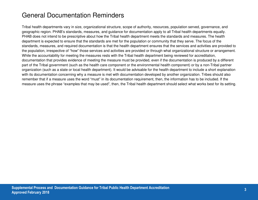# General Documentation Reminders

Tribal health departments vary in size, organizational structure, scope of authority, resources, population served, governance, and geographic region. PHAB's standards, measures, and guidance for documentation apply to all Tribal health departments equally. PHAB does not intend to be prescriptive about how the Tribal health department meets the standards and measures. The health department is expected to ensure that the standards are met for the population or community that they serve. The focus of the standards, measures, and required documentation is that the health department ensures that the services and activities are provided to the population, irrespective of "how" those services and activities are provided or through what organizational structure or arrangement. While the accountability for meeting the measures rests with the Tribal health department being reviewed for accreditation, documentation that provides evidence of meeting the measure must be provided, even if the documentation is produced by a different part of the Tribal government (such as the health care component or the environmental health component) or by a non-Tribal partner organization (such as a state or local health department). It would be advisable for the health department to include a short explanation with its documentation concerning why a measure is met with documentation developed by another organization. Tribes should also remember that if a measure uses the word "must" in its documentation requirement, then, the information has to be included. If the measure uses the phrase "examples that may be used", then, the Tribal health department should select what works best for its setting.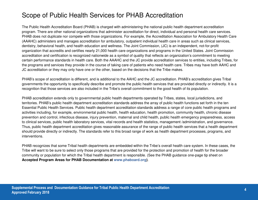# Scope of Public Health Services for PHAB Accreditation

The Public Health Accreditation Board (PHAB) is charged with administering the national public health department accreditation program. There are other national organizations that administer accreditation for direct, individual and personal health care services. PHAB does not duplicate nor compete with those organizations. For example, the Accreditation Association for Ambulatory Health Care (AAAHC) administers and manages accreditation for ambulatory, outpatient individual health care in areas such as clinical services, dentistry, behavioral health, and health education and wellness. The Joint Commission, (JC) is an independent, not-for-profit organization that accredits and certifies nearly 21,000 health care organizations and programs in the United States. Joint Commission accreditation and certification is recognized nationwide as a symbol of quality that reflects an organization's commitment to meeting certain performance standards in health care. Both the AAAHC and the JC provide accreditation services to entities, including Tribes, for the programs and services they provide in the course of taking care of patients who need health care. Tribes may have both AAHC and JC accreditation or they may only have one or the other, based on the decisions that the Tribe makes.

PHAB's scope of accreditation is different, and is additional to the AAHC and the JC accreditation. PHAB's accreditation gives Tribal governments the opportunity to specifically describe and promote the public health services that are provided directly or indirectly. It is a recognition that those services are also included in the Tribe's overall commitment to the good health of its population.

PHAB accreditation extends only to governmental public health departments operated by Tribes, states, local jurisdictions, and territories. PHAB's public health department accreditation standards address the array of public health functions set forth in the ten Essential Public Health Services. Public health department accreditation standards address a range of core public health programs and activities including, for example, environmental public health, health education, health promotion, community health, chronic disease prevention and control, infectious disease, injury prevention, maternal and child health, public health emergency preparedness, access to clinical services, public health laboratory services, vital records and health statistics, management /administration, and governance. Thus, public health department accreditation gives reasonable assurance of the range of public health services that a health department should provide directly or indirectly. The standards refer to this broad range of work as health department processes, programs, and interventions.

PHAB recognizes that some Tribal health departments are embedded within the Tribe's overall health care system. In these cases, the Tribe will want to be sure to select only those programs that are provided for the protection and promotion of health for the broader community or population for which the Tribal health department is responsible. (See the PHAB guidance one-page tip sheet on **Accepted Program Areas for PHAB Documentation at www.phaboard.org)**.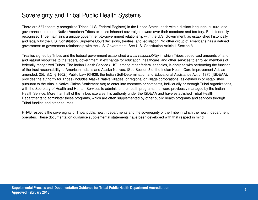# Sovereignty and Tribal Public Health Systems

There are 567 federally recognized Tribes (U.S. Federal Register) in the United States, each with a distinct language, culture, and governance structure. Native American Tribes exercise inherent sovereign powers over their members and territory. Each federally recognized Tribe maintains a unique government-to-government relationship with the U.S. Government, as established historically and legally by the U.S. Constitution, Supreme Court decisions, treaties, and legislation. No other group of Americans has a defined government-to-government relationship with the U.S. Government. See U.S. Constitution Article I, Section 8.

Treaties signed by Tribes and the federal government established a *trust responsibility* in which Tribes ceded vast amounts of land and natural resources to the federal government in exchange for education, healthcare, and other services to enrolled members of federally recognized Tribes. The Indian Health Service (IHS), among other federal agencies, is charged with performing the function of the trust responsibility to American Indians and Alaska Natives. (See Section 3 of the Indian Health Care Improvement Act, as amended, 25U.S.C. § 1602.) Public Law 93-638, the Indian Self-Determination and Educational Assistance Act of 1975 (ISDEAA), provides the authority for Tribes (includes Alaska Native villages, or regional or village corporations, as defined in or established pursuant to the Alaska Native Claims Settlement Act) to enter into contracts or compacts, individually or through Tribal organizations, with the Secretary of Health and Human Services to administer the health programs that were previously managed by the Indian Health Service. More than half of the Tribes exercise this authority under the ISDEAA and have established Tribal Health Departments to administer these programs, which are often supplemented by other public health programs and services through Tribal funding and other sources.

PHAB respects the sovereignty of Tribal public health departments and the sovereignty of the Tribe in which the health department operates. These documentation guidance supplemental statements have been developed with that respect in mind.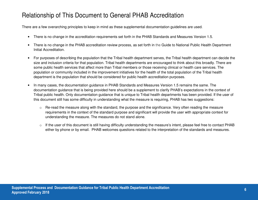# Relationship of This Document to General PHAB Accreditation

There are a few overarching principles to keep in mind as these supplemental documentation guidelines are used.

- There is no change in the accreditation requirements set forth in the PHAB Standards and Measures Version 1.5.
- There is no change in the PHAB accreditation review process, as set forth in the Guide to National Public Health Department Initial Accreditation.
- For purposes of describing the population that the Tribal health department serves, the Tribal health department can decide the size and inclusion criteria for that population. Tribal health departments are encouraged to think about this broadly. There are some public health services that affect more than Tribal members or those receiving clinical or health care services. The population or community included in the improvement initiatives for the health of the total population of the Tribal health department is the population that should be considered for public health accreditation purposes.
- In many cases, the documentation guidance in PHAB Standards and Measures Version 1.5 remains the same. The documentation guidance that is being provided here should be a supplement to clarify PHAB's expectations in the context of Tribal public health. Only documentation guidance that is unique to Tribal health departments has been provided. If the user of this document still has some difficulty in understanding what the measure is requiring, PHAB has two suggestions:
	- o Re-read the measure along with the standard, the purpose and the significance. Very often reading the measure requirements in the context of the standard purpose and significant will provide the user with appropriate context for understanding the measure. The measures do not stand alone.
	- $\circ$  If the user of this document is still having difficulty understanding the measure's intent, please feel free to contact PHAB either by phone or by email. PHAB welcomes questions related to the interpretation of the standards and measures.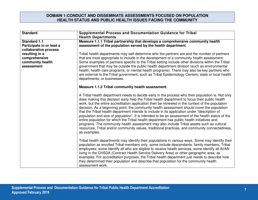#### **DOMAIN 1:CONDUCT AND DISSEMINATE ASSESSMENTS FOCUSED ON POPULATION HEALTH STATUS AND PUBLIC HEALTH ISSUES FACING THE COMMUNITY**

| <b>Standard</b>                                                                            | Supplemental Process and Documentation Guidance for Tribal<br><b>Health Departments</b>                                                                                                                                                                                                                                                                                                                                                                                                                                                                                                                                                                                                                                                                                                                                                                                                                                    |
|--------------------------------------------------------------------------------------------|----------------------------------------------------------------------------------------------------------------------------------------------------------------------------------------------------------------------------------------------------------------------------------------------------------------------------------------------------------------------------------------------------------------------------------------------------------------------------------------------------------------------------------------------------------------------------------------------------------------------------------------------------------------------------------------------------------------------------------------------------------------------------------------------------------------------------------------------------------------------------------------------------------------------------|
| <b>Standard 1.1</b><br>Participate in or lead a                                            | Measure 1.1.1 Tribal partnership that develops a comprehensive community health<br>assessment of the population served by the health department                                                                                                                                                                                                                                                                                                                                                                                                                                                                                                                                                                                                                                                                                                                                                                            |
| collaborative process<br>resulting in a<br>comprehensive<br>community health<br>assessment | Tribal health departments may self-determine who the partners are and the number of partners<br>that are most appropriate to include in the development of a community health assessment.<br>Some examples of partners specific to the Tribal setting include other divisions within the Tribal<br>government that may be outside the public health department division (such as environmental<br>health; health care programs; or mental health programs). There may also be key partners who<br>are external to the Tribal government, such as Tribal Epidemiology Centers; state or local health<br>departments; or businesses.                                                                                                                                                                                                                                                                                         |
|                                                                                            | <b>Measure 1.1.2 Tribal community health assessment</b>                                                                                                                                                                                                                                                                                                                                                                                                                                                                                                                                                                                                                                                                                                                                                                                                                                                                    |
|                                                                                            | A Tribal health department needs to decide early in the process who their population is. Not only<br>does making this decision early help the Tribal health department to focus their public health<br>work, but the entire accreditation application then be reviewed in the context of the population<br>decision. As a beginning point, the community health assessment should cover the population<br>that the Tribal health department intends to include in its application under "description of<br>population and size of population". It is intended to be an assessment of the health status of the<br>entire population for which the Tribal health department has public health initiatives and<br>programs. The community health assessment may also include Tribal assets such as cultural<br>resources, Tribal and/or community values, traditional practices, and community connectedness,<br>as examples. |
|                                                                                            | Tribal health departments may identify their populations in various ways. Some may identify their<br>population as enrolled Tribal members only, some include descendants, family members, Tribal<br>employees; some identify all who are eligible to receive health services, some identify all AI/AN<br>living in the CHSDA (Contract Health Service Delivery Area) or other geographic area, as<br>examples. For accreditation purposes, the Tribal health department just needs to describe how<br>they determined their population and describe that population for the community health<br>assessment work.                                                                                                                                                                                                                                                                                                          |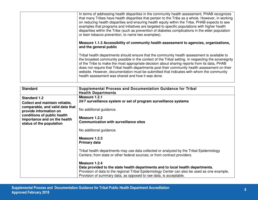| In terms of addressing health disparities in the community health assessment, PHAB recognizes<br>that many Tribes have health disparities that pertain to the Tribe as a whole. However, in working<br>on reducing health disparities and ensuring health equity within the Tribe, PHAB expects to see<br>examples that programs and initiatives are targeted to specific populations with higher health<br>disparities within the Tribe (such as prevention of diabetes complications in the elder population<br>or teen tobacco prevention, to name two examples). |
|----------------------------------------------------------------------------------------------------------------------------------------------------------------------------------------------------------------------------------------------------------------------------------------------------------------------------------------------------------------------------------------------------------------------------------------------------------------------------------------------------------------------------------------------------------------------|
| Measure 1.1.3 Accessibility of community health assessment to agencies, organizations,<br>and the general public                                                                                                                                                                                                                                                                                                                                                                                                                                                     |
| Tribal health departments should ensure that the community health assessment is available to<br>the broadest community possible in the context of the Tribal setting. In respecting the sovereignty<br>of the Tribe to make the most appropriate decision about sharing reports from its data, PHAB<br>does not require that Tribal health departments post their community health assessment on their<br>website. However, documentation must be submitted that indicates with whom the community<br>health assessment was shared and how it was done.              |

| <b>Standard</b>                 | <b>Supplemental Process and Documentation Guidance for Tribal</b>                             |
|---------------------------------|-----------------------------------------------------------------------------------------------|
|                                 | <b>Health Departments</b>                                                                     |
|                                 |                                                                                               |
| <b>Standard 1.2</b>             | Measure 1.2.1                                                                                 |
| Collect and maintain reliable,  | 24/7 surveillance system or set of program surveillance systems                               |
| comparable, and valid data that |                                                                                               |
| provide information on          | No additional guidance.                                                                       |
|                                 |                                                                                               |
| conditions of public health     | Measure 1.2.2                                                                                 |
| importance and on the health    | <b>Communication with surveillance sites</b>                                                  |
| status of the population        |                                                                                               |
|                                 | No additional guidance.                                                                       |
|                                 |                                                                                               |
|                                 | Measure 1.2.3                                                                                 |
|                                 |                                                                                               |
|                                 | <b>Primary data</b>                                                                           |
|                                 |                                                                                               |
|                                 | Tribal health departments may use data collected or analyzed by the Tribal Epidemiology       |
|                                 | Centers; from state or other federal sources; or from contract providers.                     |
|                                 |                                                                                               |
|                                 | Measure 1.2.4                                                                                 |
|                                 | Data provided to the state health departments and to local health departments.                |
|                                 | Provision of data to the regional Tribal Epidemiology Center can also be used as one example. |
|                                 | Provision of summary data, as opposed to raw data, is acceptable.                             |
|                                 |                                                                                               |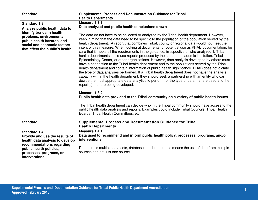| <b>Standard</b>                                                                                                                                                           | <b>Supplemental Process and Documentation Guidance for Tribal</b><br><b>Health Departments</b>                                                                                                                                                                                                                                                                                                                                                                                                                                                                                                                                                                                                                                                                                                                                                                                                                                                  |
|---------------------------------------------------------------------------------------------------------------------------------------------------------------------------|-------------------------------------------------------------------------------------------------------------------------------------------------------------------------------------------------------------------------------------------------------------------------------------------------------------------------------------------------------------------------------------------------------------------------------------------------------------------------------------------------------------------------------------------------------------------------------------------------------------------------------------------------------------------------------------------------------------------------------------------------------------------------------------------------------------------------------------------------------------------------------------------------------------------------------------------------|
| <b>Standard 1.3</b><br>Analyze public health data to<br>identify trends in health<br>problems, environmental<br>public health hazards, and<br>social and economic factors | Measure 1.3.1<br>Data analyzed and public health conclusions drawn<br>The data do not have to be collected or analyzed by the Tribal health department. However,<br>keep in mind that the data need to be specific to the population of the population served by the<br>health department. A report that combines Tribal, county or regional data would not meet the                                                                                                                                                                                                                                                                                                                                                                                                                                                                                                                                                                            |
| that affect the public's health                                                                                                                                           | intent of this measure. When looking at documents for potential use as PHAB documentation, be<br>sure that it meets all the requirements in the guidance, irrespective of who analyzed it. Tribal<br>health departments could use reports produced by the state, an academic institution, Tribal<br>Epidemiology Center, or other organizations. However, data analysis developed by others must<br>have a connection to the Tribal health department and to the populations served by the Tribal<br>health department and contain information of public health significance. PHAB does not dictate<br>the type of data analyses performed. If a Tribal health department does not have the analysis<br>capacity within the health department, they should seek a partnership with an entity who can<br>decide the most appropriate data analytics to perform for the type of data that are used and the<br>report(s) that are being developed. |
|                                                                                                                                                                           | Measure 1.3.2<br>Public health data provided to the Tribal community on a variety of public health issues                                                                                                                                                                                                                                                                                                                                                                                                                                                                                                                                                                                                                                                                                                                                                                                                                                       |
|                                                                                                                                                                           | The Tribal health department can decide who in the Tribal community should have access to the<br>public health data analysis and reports. Examples could include Tribal Councils, Tribal Health<br>Boards, Tribal Health Committees, etc.                                                                                                                                                                                                                                                                                                                                                                                                                                                                                                                                                                                                                                                                                                       |

| <b>Standard</b>                                                                                   | Supplemental Process and Documentation Guidance for Tribal<br><b>Health Departments</b>                                           |
|---------------------------------------------------------------------------------------------------|-----------------------------------------------------------------------------------------------------------------------------------|
| <b>Standard 1.4</b><br>Provide and use the results of<br>health data analysis to develop          | Measure 1.4.1<br>Data used to recommend and inform public health policy, processes, programs, and/or<br><b>interventions</b>      |
| recommendations regarding<br>public health policies,<br>processes, programs, or<br>interventions. | Data across multiple data sets, databases or data sources means the use of data from multiple<br>sources and not just one source. |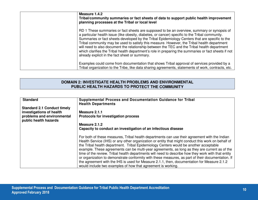| Measure 1.4.2<br>Tribal/community summaries or fact sheets of data to support public health improvement<br>planning processes at the Tribal or local level                                                                                                                                                                                                                                                                                                                                                                                                                                                                                               |
|----------------------------------------------------------------------------------------------------------------------------------------------------------------------------------------------------------------------------------------------------------------------------------------------------------------------------------------------------------------------------------------------------------------------------------------------------------------------------------------------------------------------------------------------------------------------------------------------------------------------------------------------------------|
| RD 1 These summaries or fact sheets are supposed to be an overview, summary or synopsis of<br>a particular health issue (like obesity, diabetes, or cancer) specific to the Tribal community.<br>Summaries or fact sheets developed by the Tribal Epidemiology Centers that are specific to the<br>Tribal community may be used to satisfy this measure. However, the Tribal health department<br>will need to also document the relationship between the TEC and the Tribal health department<br>which clarifies the Tribal health department's role in preparing the summaries or fact sheets if not<br>already explicit in the fact sheet or summary. |
| Examples could come from documentation that shows Tribal approval of services provided by a<br>Tribal organization to the Tribe, like data sharing agreements, statements of work, contracts, etc.                                                                                                                                                                                                                                                                                                                                                                                                                                                       |

#### **DOMAIN 2: INVESTIGATE HEALTH PROBLEMS AND ENVIRONMENTAL PUBLIC HEALTH HAZARDS TO PROTECT THE COMMUNITY**

| <b>Standard</b>                                     | <b>Supplemental Process and Documentation Guidance for Tribal</b>                                                                                                                                                                                                                                                                                                                                                                                                                                                                                                                                                                                                                                       |
|-----------------------------------------------------|---------------------------------------------------------------------------------------------------------------------------------------------------------------------------------------------------------------------------------------------------------------------------------------------------------------------------------------------------------------------------------------------------------------------------------------------------------------------------------------------------------------------------------------------------------------------------------------------------------------------------------------------------------------------------------------------------------|
|                                                     | <b>Health Departments</b>                                                                                                                                                                                                                                                                                                                                                                                                                                                                                                                                                                                                                                                                               |
| <b>Standard 2.1 Conduct timely</b>                  |                                                                                                                                                                                                                                                                                                                                                                                                                                                                                                                                                                                                                                                                                                         |
| investigations of health                            | Measure 2.1.1                                                                                                                                                                                                                                                                                                                                                                                                                                                                                                                                                                                                                                                                                           |
| problems and environmental<br>public health hazards | <b>Protocols for investigation process</b>                                                                                                                                                                                                                                                                                                                                                                                                                                                                                                                                                                                                                                                              |
|                                                     | Measure 2.1.2                                                                                                                                                                                                                                                                                                                                                                                                                                                                                                                                                                                                                                                                                           |
|                                                     | Capacity to conduct an investigation of an infectious disease                                                                                                                                                                                                                                                                                                                                                                                                                                                                                                                                                                                                                                           |
|                                                     | For both of these measures, Tribal health departments can use their agreement with the Indian<br>Health Service (IHS) or any other organization or entity that might conduct this work on behalf of<br>the Tribal health department. Tribal Epidemiology Centers would be another acceptable<br>example. These agreements can be multi-year agreements, as long as they are current as of the<br>time of the review. Tribal health departments will need to describe how they work with that entity<br>or organization to demonstrate conformity with these measures, as part of their documentation. If<br>the agreement with the IHS is used for Measure 2.1.1, then, documentation for Measure 2.1.2 |
|                                                     | would include two examples of how that agreement is working.                                                                                                                                                                                                                                                                                                                                                                                                                                                                                                                                                                                                                                            |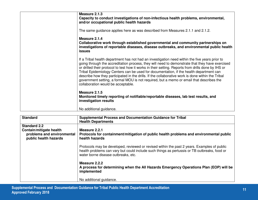| Measure 2.1.3<br>Capacity to conduct investigations of non-infectious health problems, environmental,<br>and/or occupational public health hazards                                                                                                                                                                                                                                                                                                                                                                                                                                                                                         |
|--------------------------------------------------------------------------------------------------------------------------------------------------------------------------------------------------------------------------------------------------------------------------------------------------------------------------------------------------------------------------------------------------------------------------------------------------------------------------------------------------------------------------------------------------------------------------------------------------------------------------------------------|
| The same guidance applies here as was described from Measures 2.1.1 and 2.1.2.                                                                                                                                                                                                                                                                                                                                                                                                                                                                                                                                                             |
| Measure 2.1.4<br>Collaborative work through established governmental and community partnerships on<br>investigations of reportable diseases, disease outbreaks, and environmental public health<br><b>issues</b>                                                                                                                                                                                                                                                                                                                                                                                                                           |
| If a Tribal health department has not had an investigation need within the five years prior to<br>going through the accreditation process, they will need to demonstrate that they have exercised<br>or drilled their protocol to test how it works in their setting. Reports from drills done by IHS or<br>Tribal Epidemiology Centers can be used for documentation, if the health department can<br>describe how they participated in the drills. If the collaborative work is done within the Tribal<br>government setting, a formal MOU is not required, but a memo or email that describes the<br>collaboration would be acceptable. |
| Measure 2.1.5<br>Monitored timely reporting of notifiable/reportable diseases, lab test results, and<br>investigation results                                                                                                                                                                                                                                                                                                                                                                                                                                                                                                              |
| No additional guidance.                                                                                                                                                                                                                                                                                                                                                                                                                                                                                                                                                                                                                    |

| <b>Standard</b>                                                                | <b>Supplemental Process and Documentation Guidance for Tribal</b>                                                                                                                                                                  |
|--------------------------------------------------------------------------------|------------------------------------------------------------------------------------------------------------------------------------------------------------------------------------------------------------------------------------|
|                                                                                | <b>Health Departments</b>                                                                                                                                                                                                          |
| <b>Standard 2.2</b>                                                            |                                                                                                                                                                                                                                    |
| Contain/mitigate health<br>problems and environmental<br>public health hazards | Measure 2.2.1<br>Protocols for containment/mitigation of public health problems and environmental public<br>health hazards                                                                                                         |
|                                                                                | Protocols may be developed, reviewed or revised within the past 2 years. Examples of public<br>health problems can vary but could include such things as pertussis or TB outbreaks, food or<br>water borne disease outbreaks, etc. |
|                                                                                | Measure 2.2.2<br>A process for determining when the All Hazards Emergency Operations Plan (EOP) will be<br>implemented                                                                                                             |
|                                                                                | No additional guidance.                                                                                                                                                                                                            |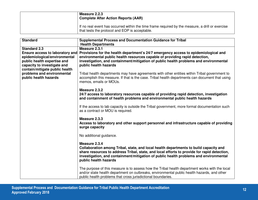| Measure 2.2.3<br><b>Complete After Action Reports (AAR)</b>                                                                                        |
|----------------------------------------------------------------------------------------------------------------------------------------------------|
| If no real event has occurred within the time frame required by the measure, a drill or exercise<br>that tests the protocol and EOP is acceptable. |

| <b>Standard</b>                                                                                                                                                         | <b>Supplemental Process and Documentation Guidance for Tribal</b><br><b>Health Departments</b>                                                                                                                                                                                                                          |
|-------------------------------------------------------------------------------------------------------------------------------------------------------------------------|-------------------------------------------------------------------------------------------------------------------------------------------------------------------------------------------------------------------------------------------------------------------------------------------------------------------------|
| <b>Standard 2.3</b>                                                                                                                                                     | Measure 2.3.1                                                                                                                                                                                                                                                                                                           |
| <b>Ensure access to laboratory and</b><br>epidemiological/environmental<br>public health expertise and<br>capacity to investigate and<br>contain/mitigate public health | Provisions for the health department's 24/7 emergency access to epidemiological and<br>environmental public health resources capable of providing rapid detection,<br>investigation, and containment/mitigation of public health problems and environmental<br>public health hazards                                    |
| problems and environmental<br>public health hazards                                                                                                                     | Tribal health departments may have agreements with other entities within Tribal government to<br>accomplish this measure. If that is the case. Tribal health departments can document that using<br>memos, emails or MOUs.                                                                                              |
|                                                                                                                                                                         | Measure 2.3.2<br>24/7 access to laboratory resources capable of providing rapid detection, investigation<br>and containment of health problems and environmental public health hazards                                                                                                                                  |
|                                                                                                                                                                         | If the access to lab capacity is outside the Tribal government, more formal documentation such<br>as a contract or MOU is required.                                                                                                                                                                                     |
|                                                                                                                                                                         | Measure 2.3.3<br>Access to laboratory and other support personnel and infrastructure capable of providing<br>surge capacity                                                                                                                                                                                             |
|                                                                                                                                                                         | No additional guidance.                                                                                                                                                                                                                                                                                                 |
|                                                                                                                                                                         | Measure 2.3.4<br>Collaboration among Tribal, state, and local health departments to build capacity and<br>share resources to address Tribal, state, and local efforts to provide for rapid detection,<br>investigation, and containment/mitigation of public health problems and environmental<br>public health hazards |
|                                                                                                                                                                         | The purpose of this measure is to assess how the Tribal health department works with the local<br>and/or state health department on outbreaks, environmental public health hazards, and other<br>public health problems that cross jurisdictional boundaries.                                                           |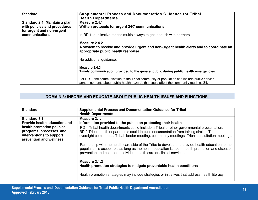| <b>Standard</b>                                                                            | Supplemental Process and Documentation Guidance for Tribal<br><b>Health Departments</b>                                                                                                   |
|--------------------------------------------------------------------------------------------|-------------------------------------------------------------------------------------------------------------------------------------------------------------------------------------------|
| Standard 2.4: Maintain a plan<br>with policies and procedures<br>for urgent and non-urgent | Measure 2.4.1<br>Written protocols for urgent 24/7 communications                                                                                                                         |
| communications                                                                             | In RD 1, duplicative means multiple ways to get in touch with partners.                                                                                                                   |
|                                                                                            | Measure 2.4.2<br>A system to receive and provide urgent and non-urgent health alerts and to coordinate an<br>appropriate public health response                                           |
|                                                                                            | No additional guidance.                                                                                                                                                                   |
|                                                                                            | Measure 2.4.3<br>Timely communication provided to the general public during public health emergencies                                                                                     |
|                                                                                            | For RD 2, the communication to the Tribal community or population can include public service<br>announcements about public health hazards that could affect the community (such as Zika). |

### **DOMAIN 3: INFORM AND EDUCATE ABOUT PUBLIC HEALTH ISSUES AND FUNCTIONS**

| <b>Standard</b>                                                                 | <b>Supplemental Process and Documentation Guidance for Tribal</b><br><b>Health Departments</b>                                                                                                                                                                               |
|---------------------------------------------------------------------------------|------------------------------------------------------------------------------------------------------------------------------------------------------------------------------------------------------------------------------------------------------------------------------|
| <b>Standard 3.1</b>                                                             | Measure 3.1.1                                                                                                                                                                                                                                                                |
| Provide health education and                                                    | Information provided to the public on protecting their health                                                                                                                                                                                                                |
| health promotion policies,                                                      | RD 1 Tribal health departments could include a Tribal or other governmental proclamation.                                                                                                                                                                                    |
| programs, processes, and<br>interventions to support<br>prevention and wellness | RD 2 Tribal health departments could Include documentation from talking circles, Tribal<br>oversight committees, Tribal leader meeting, community meetings, Tribal consultation meetings.                                                                                    |
|                                                                                 | Partnership with the health care side of the Tribe to develop and provide health education to the<br>population is acceptable as long as the health education is about health promotion and disease<br>prevention and not about individual health care or clinical services. |
|                                                                                 | Measure 3.1.2<br>Health promotion strategies to mitigate preventable health conditions                                                                                                                                                                                       |
|                                                                                 | Health promotion strategies may include strategies or initiatives that address health literacy.                                                                                                                                                                              |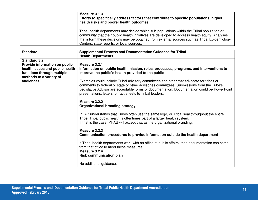| Measure 3.1.3<br>Efforts to specifically address factors that contribute to specific populations' higher<br>health risks and poorer health outcomes                                                                                                                                                                                         |
|---------------------------------------------------------------------------------------------------------------------------------------------------------------------------------------------------------------------------------------------------------------------------------------------------------------------------------------------|
| Tribal health departments may decide which sub-populations within the Tribal population or<br>community that their public health initiatives are developed to address health equity. Analyses<br>that inform these decisions may be obtained from external sources such as Tribal Epidemiology<br>Centers, state reports, or local sources. |

| <b>Standard</b>                      | <b>Supplemental Process and Documentation Guidance for Tribal</b><br><b>Health Departments</b>                                                                                                                                                                                                                                                    |
|--------------------------------------|---------------------------------------------------------------------------------------------------------------------------------------------------------------------------------------------------------------------------------------------------------------------------------------------------------------------------------------------------|
| <b>Standard 3.2</b>                  |                                                                                                                                                                                                                                                                                                                                                   |
| Provide information on public        | Measure 3.2.1                                                                                                                                                                                                                                                                                                                                     |
| health issues and public health      | Information on public health mission, roles, processes, programs, and interventions to                                                                                                                                                                                                                                                            |
| functions through multiple           | improve the public's health provided to the public                                                                                                                                                                                                                                                                                                |
| methods to a variety of<br>audiences | Examples could include Tribal advisory committees and other that advocate for tribes or<br>comments to federal or state or other advisories committees. Submissions from the Tribe's<br>Legislative Advisor are acceptable forms of documentation. Documentation could be PowerPoint<br>presentations, letters, or fact sheets to Tribal leaders. |
|                                      | Measure 3.2.2<br><b>Organizational branding strategy</b>                                                                                                                                                                                                                                                                                          |
|                                      | PHAB understands that Tribes often use the same logo, or Tribal seal throughout the entire<br>Tribe. Tribal public health is oftentimes part of a larger health system.<br>If that is the case, PHAB will accept that as the organizational branding.                                                                                             |
|                                      | Measure 3.2.3<br>Communication procedures to provide information outside the health department                                                                                                                                                                                                                                                    |
|                                      | If Tribal health departments work with an office of public affairs, then documentation can come<br>from that office to meet these measures.<br>Measure 3.2.4<br><b>Risk communication plan</b>                                                                                                                                                    |
|                                      | No additional guidance.                                                                                                                                                                                                                                                                                                                           |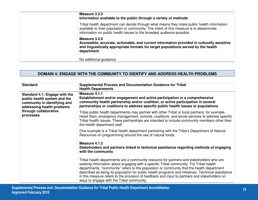| Measure 3.2.5<br>Information available to the public through a variety of methods                                                                                                                                                                                |
|------------------------------------------------------------------------------------------------------------------------------------------------------------------------------------------------------------------------------------------------------------------|
| Tribal health department can decide through what means they make public health information<br>available to their population or community. The intent of this measure is to disseminate<br>information on public health issues to the broadest audience possible. |
| Measure 3.2.6<br>Accessible, accurate, actionable, and current information provided in culturally sensitive<br>and linguistically appropriate formats for target populations served by the health<br>department                                                  |
| No additional guidance.                                                                                                                                                                                                                                          |

#### **DOMAIN 4: ENGAGE WITH THE COMMUNITY TO IDENTIFY AND ADDRESS HEALTH PROBLEMS**

| <b>Standard</b>                                                                                                             | <b>Supplemental Process and Documentation Guidance for Tribal</b><br><b>Health Departments</b>                                                                                                                                                                                                                                                                                                                                                                                                                                      |
|-----------------------------------------------------------------------------------------------------------------------------|-------------------------------------------------------------------------------------------------------------------------------------------------------------------------------------------------------------------------------------------------------------------------------------------------------------------------------------------------------------------------------------------------------------------------------------------------------------------------------------------------------------------------------------|
| Standard 4.1: Engage with the<br>public health system and the<br>community in identifying and<br>addressing health problems | Measure 4.1.1<br>Establishment and/or engagement and active participation in a comprehensive<br>community health partnership and/or coalition; or active participation in several<br>partnerships or coalitions to address specific public health issues or populations                                                                                                                                                                                                                                                             |
| through collaborative<br>processes                                                                                          | Tribal public health departments may partner with other Tribal or local partners, for example,<br>Head Start, emergency management, schools, coalitions, and social services to address specific<br>Tribal health issues. These partnerships are intended to include community members other than<br>the health department staff.                                                                                                                                                                                                   |
|                                                                                                                             | One example is a Tribal health department partnering with the Tribe's Department of Natural<br>Resources on programming around the use of natural foods.                                                                                                                                                                                                                                                                                                                                                                            |
|                                                                                                                             | Measure 4.1.2<br>Stakeholders and partners linked to technical assistance regarding methods of engaging<br>with the community                                                                                                                                                                                                                                                                                                                                                                                                       |
|                                                                                                                             | Tribal health departments are a community resource for partners and stakeholders who are<br>seeking information about engaging with a specific Tribal community. For Tribal health<br>departments, "community" refers to the population or community that the health department<br>described as being its population for public health programs and initiatives. Technical assistance<br>in this measure refers to the provision of feedback and input to partners and stakeholders on<br>ways to engage with the Tribal community. |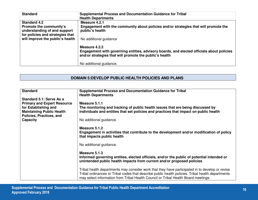| <b>Standard</b>                                                                                                    | <b>Supplemental Process and Documentation Guidance for Tribal</b><br><b>Health Departments</b>                                                                        |
|--------------------------------------------------------------------------------------------------------------------|-----------------------------------------------------------------------------------------------------------------------------------------------------------------------|
| <b>Standard 4.2</b><br>Promote the community's<br>understanding of and support<br>for policies and strategies that | Measure 4.2.1<br>Engagement with the community about policies and/or strategies that will promote the<br>public's health                                              |
| will improve the public's health                                                                                   | No additional guidance                                                                                                                                                |
|                                                                                                                    | Measure 4.2.2<br>Engagement with governing entities, advisory boards, and elected officials about policies<br>and/or strategies that will promote the public's health |
|                                                                                                                    | No additional guidance.                                                                                                                                               |

# **DOMAIN 5:DEVELOP PUBLIC HEALTH POLICIES AND PLANS**

| <b>Standard</b>                                              | <b>Supplemental Process and Documentation Guidance for Tribal</b><br><b>Health Departments</b>                                                                                                                                                                                             |
|--------------------------------------------------------------|--------------------------------------------------------------------------------------------------------------------------------------------------------------------------------------------------------------------------------------------------------------------------------------------|
| Standard 5.1: Serve As a                                     |                                                                                                                                                                                                                                                                                            |
| <b>Primary and Expert Resource</b>                           | Measure 5.1.1                                                                                                                                                                                                                                                                              |
| for Establishing and                                         | The monitoring and tracking of public health issues that are being discussed by                                                                                                                                                                                                            |
| <b>Maintaining Public Health</b><br>Policies, Practices, and | individuals and entities that set policies and practices that impact on public health                                                                                                                                                                                                      |
| Capacity                                                     | No additional guidance.                                                                                                                                                                                                                                                                    |
|                                                              | Measure 5.1.2                                                                                                                                                                                                                                                                              |
|                                                              | Engagement in activities that contribute to the development and/or modification of policy<br>that impacts public health                                                                                                                                                                    |
|                                                              | No additional guidance.                                                                                                                                                                                                                                                                    |
|                                                              | Measure 5.1.3                                                                                                                                                                                                                                                                              |
|                                                              | Informed governing entities, elected officials, and/or the public of potential intended or<br>unintended public health impacts from current and/or proposed policies                                                                                                                       |
|                                                              | Tribal health departments may consider work that they have participated in to develop or revise<br>Tribal ordinances or Tribal codes that describe public health policies. Tribal health departments<br>may select information from Tribal Health Council or Tribal Health Board meetings. |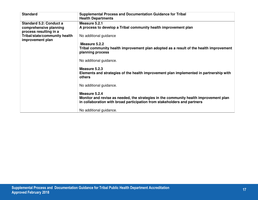| <b>Standard</b>                | <b>Supplemental Process and Documentation Guidance for Tribal</b><br><b>Health Departments</b>                                                                    |
|--------------------------------|-------------------------------------------------------------------------------------------------------------------------------------------------------------------|
| <b>Standard 5.2: Conduct a</b> | Measure 5.2.1                                                                                                                                                     |
| comprehensive planning         | A process to develop a Tribal community health improvement plan                                                                                                   |
| process resulting in a         |                                                                                                                                                                   |
| Tribal/state/community health  | No additional guidance                                                                                                                                            |
| improvement plan               |                                                                                                                                                                   |
|                                | Measure 5.2.2                                                                                                                                                     |
|                                | Tribal community health improvement plan adopted as a result of the health improvement                                                                            |
|                                | planning process                                                                                                                                                  |
|                                | No additional guidance.                                                                                                                                           |
|                                |                                                                                                                                                                   |
|                                | Measure 5.2.3                                                                                                                                                     |
|                                | Elements and strategies of the health improvement plan implemented in partnership with<br>others                                                                  |
|                                | No additional guidance.                                                                                                                                           |
|                                | Measure 5.2.4                                                                                                                                                     |
|                                | Monitor and revise as needed, the strategies in the community health improvement plan<br>in collaboration with broad participation from stakeholders and partners |
|                                |                                                                                                                                                                   |
|                                | No additional guidance.                                                                                                                                           |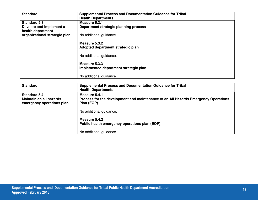| <b>Standard</b>                                                     | <b>Supplemental Process and Documentation Guidance for Tribal</b><br><b>Health Departments</b> |
|---------------------------------------------------------------------|------------------------------------------------------------------------------------------------|
| <b>Standard 5.3</b><br>Develop and implement a<br>health department | Measure 5.3.1<br>Department strategic planning process                                         |
| organizational strategic plan.                                      | No additional guidance                                                                         |
|                                                                     | Measure 5.3.2<br>Adopted department strategic plan                                             |
|                                                                     | No additional guidance.                                                                        |
|                                                                     | Measure 5.3.3<br>Implemented department strategic plan                                         |
|                                                                     | No additional guidance.                                                                        |

| <b>Standard</b>                                                              | <b>Supplemental Process and Documentation Guidance for Tribal</b><br><b>Health Departments</b>                    |
|------------------------------------------------------------------------------|-------------------------------------------------------------------------------------------------------------------|
| <b>Standard 5.4</b><br>Maintain an all hazards<br>emergency operations plan. | Measure 5.4.1<br>Process for the development and maintenance of an All Hazards Emergency Operations<br>Plan (EOP) |
|                                                                              | No additional guidance.                                                                                           |
|                                                                              | Measure 5.4.2<br>Public health emergency operations plan (EOP)                                                    |
|                                                                              | No additional guidance.                                                                                           |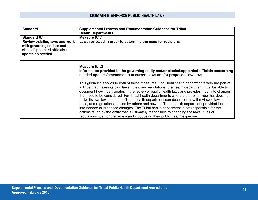| <b>Standard</b>                                                                                                    | <b>Supplemental Process and Documentation Guidance for Tribal</b>                                                                                                                                                                                                                                                                                                                                                                                                                                                                                                                                                                                                                                                                                                                                                                                                              |
|--------------------------------------------------------------------------------------------------------------------|--------------------------------------------------------------------------------------------------------------------------------------------------------------------------------------------------------------------------------------------------------------------------------------------------------------------------------------------------------------------------------------------------------------------------------------------------------------------------------------------------------------------------------------------------------------------------------------------------------------------------------------------------------------------------------------------------------------------------------------------------------------------------------------------------------------------------------------------------------------------------------|
|                                                                                                                    | <b>Health Departments</b>                                                                                                                                                                                                                                                                                                                                                                                                                                                                                                                                                                                                                                                                                                                                                                                                                                                      |
| <b>Standard 6.1</b>                                                                                                | Measure 6.1.1                                                                                                                                                                                                                                                                                                                                                                                                                                                                                                                                                                                                                                                                                                                                                                                                                                                                  |
| Review existing laws and work<br>with governing entities and<br>elected/appointed officials to<br>update as needed | Laws reviewed in order to determine the need for revisions                                                                                                                                                                                                                                                                                                                                                                                                                                                                                                                                                                                                                                                                                                                                                                                                                     |
|                                                                                                                    | Measure 6.1.2<br>Information provided to the governing entity and/or elected/appointed officials concerning<br>needed updates/amendments to current laws and/or proposed new laws                                                                                                                                                                                                                                                                                                                                                                                                                                                                                                                                                                                                                                                                                              |
|                                                                                                                    | This guidance applies to both of these measures. For Tribal health departments who are part of<br>a Tribe that makes its own laws, rules, and regulations, the health department must be able to<br>document how it participates in the review of public health laws and provides input into changes<br>that need to be considered. For Tribal health departments who are part of a Tribe that does not<br>make its own laws, then, the Tribal health department can document how it reviewed laws,<br>rules, and regulations passed by others and how the Tribal health department provided input<br>into needed or proposed changes. The Tribal health department is not responsible for the<br>actions taken by the entity that is ultimately responsible to changing the laws, rules or<br>regulations; just for the review and input using their public health expertise. |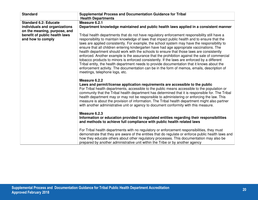| <b>Standard</b>                                    | <b>Supplemental Process and Documentation Guidance for Tribal</b><br><b>Health Departments</b>                                                                                                                                                                                                                                                                                                                                                                                                                                                                                                                                                                                                                                                                                                                                                                                                                                                                                                                                                                                                                                                                         |
|----------------------------------------------------|------------------------------------------------------------------------------------------------------------------------------------------------------------------------------------------------------------------------------------------------------------------------------------------------------------------------------------------------------------------------------------------------------------------------------------------------------------------------------------------------------------------------------------------------------------------------------------------------------------------------------------------------------------------------------------------------------------------------------------------------------------------------------------------------------------------------------------------------------------------------------------------------------------------------------------------------------------------------------------------------------------------------------------------------------------------------------------------------------------------------------------------------------------------------|
| <b>Standard 6.2: Educate</b>                       | Measure 6.2.1                                                                                                                                                                                                                                                                                                                                                                                                                                                                                                                                                                                                                                                                                                                                                                                                                                                                                                                                                                                                                                                                                                                                                          |
| individuals and organizations                      | Department knowledge maintained and public health laws applied in a consistent manner                                                                                                                                                                                                                                                                                                                                                                                                                                                                                                                                                                                                                                                                                                                                                                                                                                                                                                                                                                                                                                                                                  |
| on the meaning, purpose, and                       |                                                                                                                                                                                                                                                                                                                                                                                                                                                                                                                                                                                                                                                                                                                                                                                                                                                                                                                                                                                                                                                                                                                                                                        |
| benefit of public health laws<br>and how to comply | Tribal health departments that do not have regulatory enforcement responsibility still have a<br>responsibility to maintain knowledge of laws that impact public health and to ensure that the<br>laws are applied consistently. For example, the school system may have the responsibility to<br>ensure that all children entering kindergarten have had age appropriate vaccinations. The<br>health department should work with the schools to ensure that those laws are consistently<br>enforced. Another example is the assurance that the prohibition against the sale of commercial<br>tobacco products to minors is enforced consistently. If the laws are enforced by a different<br>Tribal entity, the health department needs to provide documentation that it knows about the<br>enforcement activity. The documentation can be in the form of memos, emails, description of<br>meetings, telephone logs, etc.                                                                                                                                                                                                                                             |
|                                                    | Measure 6.2.2<br>Laws and permit/license application requirements are accessible to the public<br>For Tribal health departments, accessible to the public means accessible to the population or<br>community that the Tribal health department has determined that it is responsible for. The Tribal<br>health department may or may not be responsible to administering or enforcing the law. This<br>measure is about the provision of information. The Tribal health department might also partner<br>with another administrative unit or agency to document conformity with this measure.<br>Measure 6.2.3<br>Information or education provided to regulated entities regarding their responsibilities<br>and methods to achieve full compliance with public health related laws<br>For Tribal health departments with no regulatory or enforcement responsibilities, they must<br>demonstrate that they are aware of the entities that do regulate or enforce public health laws and<br>how they educate others about other regulatory processes. This documentation may also be<br>prepared by another administrative unit within the Tribe or by another agency |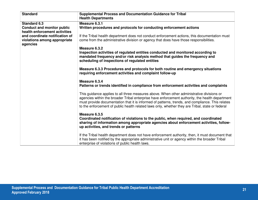| <b>Standard</b>                                                    | <b>Supplemental Process and Documentation Guidance for Tribal</b><br><b>Health Departments</b>                                                                                                                                                                                                                                                                                                       |
|--------------------------------------------------------------------|------------------------------------------------------------------------------------------------------------------------------------------------------------------------------------------------------------------------------------------------------------------------------------------------------------------------------------------------------------------------------------------------------|
| <b>Standard 6.3</b>                                                | Measure 6.3.1                                                                                                                                                                                                                                                                                                                                                                                        |
| <b>Conduct and monitor public</b><br>health enforcement activities | Written procedures and protocols for conducting enforcement actions                                                                                                                                                                                                                                                                                                                                  |
| and coordinate notification of<br>violations among appropriate     | If the Tribal health department does not conduct enforcement actions, this documentation must<br>come from the administrative division or agency that does have those responsibilities.                                                                                                                                                                                                              |
| agencies                                                           |                                                                                                                                                                                                                                                                                                                                                                                                      |
|                                                                    | Measure 6.3.2<br>Inspection activities of regulated entities conducted and monitored according to<br>mandated frequency and/or risk analysis method that guides the frequency and<br>scheduling of inspections of regulated entities                                                                                                                                                                 |
|                                                                    | Measure 6.3.3 Procedures and protocols for both routine and emergency situations<br>requiring enforcement activities and complaint follow-up                                                                                                                                                                                                                                                         |
|                                                                    | Measure 6.3.4<br>Patterns or trends identified in compliance from enforcement activities and complaints                                                                                                                                                                                                                                                                                              |
|                                                                    | This guidance applies to all three measures above. When other administrative divisions or<br>agencies within the broader Tribal enterprise have enforcement authority, the health department<br>must provide documentation that it is informed of patterns, trends, and compliance. This relates<br>to the enforcement of public health related laws only, whether they are Tribal, state or federal |
|                                                                    | Measure 6.3.5<br>Coordinated notification of violations to the public, when required, and coordinated<br>sharing of information among appropriate agencies about enforcement activities, follow-<br>up activities, and trends or patterns                                                                                                                                                            |
|                                                                    | If the Tribal health department does not have enforcement authority, then, it must document that<br>it has been notified by the appropriate administrative unit or agency within the broader Tribal<br>enterprise of violations of public health laws.                                                                                                                                               |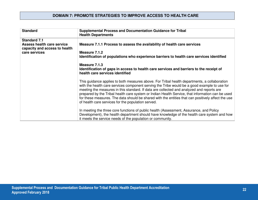### **DOMAIN 7: PROMOTE STRATEGIES TO IMPROVE ACCESS TO HEALTH CARE**

| <b>Standard</b>                                                                           | <b>Supplemental Process and Documentation Guidance for Tribal</b><br><b>Health Departments</b>                                                                                                                                                                                                                                                                                                                                                                                                                                                            |
|-------------------------------------------------------------------------------------------|-----------------------------------------------------------------------------------------------------------------------------------------------------------------------------------------------------------------------------------------------------------------------------------------------------------------------------------------------------------------------------------------------------------------------------------------------------------------------------------------------------------------------------------------------------------|
| <b>Standard 7.1</b><br><b>Assess health care service</b><br>capacity and access to health | Measure 7.1.1 Process to assess the availability of health care services                                                                                                                                                                                                                                                                                                                                                                                                                                                                                  |
| care services                                                                             | Measure 7.1.2<br>Identification of populations who experience barriers to health care services identified                                                                                                                                                                                                                                                                                                                                                                                                                                                 |
|                                                                                           | Measure 7.1.3<br>Identification of gaps in access to health care services and barriers to the receipt of<br>health care services identified                                                                                                                                                                                                                                                                                                                                                                                                               |
|                                                                                           | This guidance applies to both measures above. For Tribal health departments, a collaboration<br>with the health care services component serving the Tribe would be a good example to use for<br>meeting the measures in this standard. If data are collected and analyzed and reports are<br>prepared by the Tribal health care system or Indian Health Service, that information can be used<br>for these measures. The data should be shared with the entities that can positively affect the use<br>of health care services for the population served. |
|                                                                                           | In meeting the three core functions of public health (Assessment, Assurance, and Policy<br>Development), the health department should have knowledge of the health care system and how<br>it meets the service needs of the population or community.                                                                                                                                                                                                                                                                                                      |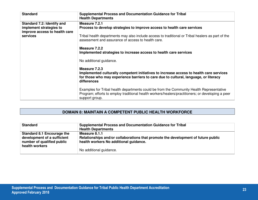| <b>Standard</b>                                                                        | <b>Supplemental Process and Documentation Guidance for Tribal</b><br><b>Health Departments</b>                                                                                                                  |
|----------------------------------------------------------------------------------------|-----------------------------------------------------------------------------------------------------------------------------------------------------------------------------------------------------------------|
| Standard 7.2: Identify and<br>implement strategies to<br>improve access to health care | Measure 7.2.1<br>Process to develop strategies to improve access to health care services                                                                                                                        |
| services                                                                               | Tribal health departments may also include access to traditional or Tribal healers as part of the<br>assessment and assurance of access to health care.                                                         |
|                                                                                        | Measure 7.2.2<br>Implemented strategies to increase access to health care services                                                                                                                              |
|                                                                                        | No additional guidance.                                                                                                                                                                                         |
|                                                                                        | Measure 7.2.3<br>Implemented culturally competent initiatives to increase access to health care services<br>for those who may experience barriers to care due to cultural, language, or literacy<br>differences |
|                                                                                        | Examples for Tribal health departments could be from the Community Health Representative<br>Program; efforts to employ traditional health workers/healers/practitioners; or developing a peer<br>support group. |

## **DOMAIN 8: MAINTAIN A COMPETENT PUBLIC HEALTH WORKFORCE**

| <b>Standard</b>                                                                                                  | <b>Supplemental Process and Documentation Guidance for Tribal</b><br><b>Health Departments</b>                                               |
|------------------------------------------------------------------------------------------------------------------|----------------------------------------------------------------------------------------------------------------------------------------------|
| <b>Standard 8.1 Encourage the</b><br>development of a sufficient<br>number of qualified public<br>health workers | Measure 8.1.1<br>Relationships and/or collaborations that promote the development of future public<br>health workers No additional quidance. |
|                                                                                                                  | No additional guidance.                                                                                                                      |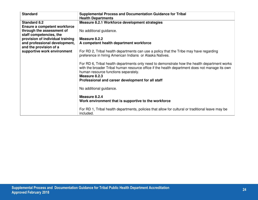| <b>Standard</b>                                             | <b>Supplemental Process and Documentation Guidance for Tribal</b><br><b>Health Departments</b>                                                                                                                                                                                                               |
|-------------------------------------------------------------|--------------------------------------------------------------------------------------------------------------------------------------------------------------------------------------------------------------------------------------------------------------------------------------------------------------|
| <b>Standard 8.2</b>                                         | Measure 8.2.1 Workforce development strategies                                                                                                                                                                                                                                                               |
| Ensure a competent workforce                                |                                                                                                                                                                                                                                                                                                              |
| through the assessment of                                   | No additional guidance.                                                                                                                                                                                                                                                                                      |
| staff competencies, the<br>provision of individual training | Measure 8.2.2                                                                                                                                                                                                                                                                                                |
| and professional development,                               | A competent health department workforce                                                                                                                                                                                                                                                                      |
| and the provision of a                                      |                                                                                                                                                                                                                                                                                                              |
| supportive work environment                                 | For RD 2, Tribal health departments can use a policy that the Tribe may have regarding<br>preference in hiring American Indians or Alaska Natives.                                                                                                                                                           |
|                                                             | For RD 6, Tribal health departments only need to demonstrate how the health department works<br>with the broader Tribal human resource office if the health department does not manage its own<br>human resource functions separately.<br>Measure 8.2.3<br>Professional and career development for all staff |
|                                                             | No additional guidance.                                                                                                                                                                                                                                                                                      |
|                                                             | Measure 8.2.4<br>Work environment that is supportive to the workforce                                                                                                                                                                                                                                        |
|                                                             | For RD 1, Tribal health departments, policies that allow for cultural or traditional leave may be<br>included.                                                                                                                                                                                               |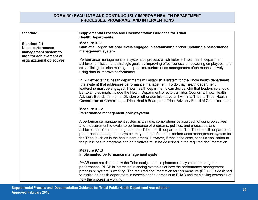#### **DOMAIN9: EVALUATE AND CONTINUOUSLY IMPROVE HEALTH DEPARTMENT PROCESSES, PROGRAMS, AND INTERVENTIONS**

| <b>Standard</b>                                                                            | <b>Supplemental Process and Documentation Guidance for Tribal</b><br><b>Health Departments</b>                                                                                                                                                                                                                                                                                                                                                                                                                                                                                       |
|--------------------------------------------------------------------------------------------|--------------------------------------------------------------------------------------------------------------------------------------------------------------------------------------------------------------------------------------------------------------------------------------------------------------------------------------------------------------------------------------------------------------------------------------------------------------------------------------------------------------------------------------------------------------------------------------|
| <b>Standard 9.1</b><br>Use a performance<br>management system to<br>monitor achievement of | Measure 9.1.1<br>Staff at all organizational levels engaged in establishing and/or updating a performance<br>management system.                                                                                                                                                                                                                                                                                                                                                                                                                                                      |
| organizational objectives                                                                  | Performance management is a systematic process which helps a Tribal health department<br>achieve its mission and strategic goals by improving effectiveness, empowering employees, and<br>streamlining decision making. In practice, performance management often means actively<br>using data to improve performance.                                                                                                                                                                                                                                                               |
|                                                                                            | PHAB expects that health departments will establish a system for the whole health department<br>(the system) that addresses performance management. To do that, health department<br>leadership must be engaged. Tribal health departments can decide who that leadership should<br>be. Examples might include the Health Department Director; a Tribal Council; a Tribal Health<br>Advisory Board; an internal Division or other administrative unit within a Tribe; a Tribal Health<br>Commission or Committee; a Tribal Health Board; or a Tribal Advisory Board of Commissioners |
|                                                                                            | Measure 9.1.2<br>Performance management policy/system                                                                                                                                                                                                                                                                                                                                                                                                                                                                                                                                |
|                                                                                            | A performance management system is a single, comprehensive approach of using objectives<br>and measurement to evaluate performance of programs, policies, and processes, and<br>achievement of outcome targets for the Tribal health department. The Tribal health department<br>performance management system may be part of a larger performance management system for<br>the Tribe (such as in the health care arena). However, if that is the case, specific application to<br>the public health programs and/or initiatives must be described in the required documentation.    |
|                                                                                            | Measure 9.1.3<br>Implemented performance management system                                                                                                                                                                                                                                                                                                                                                                                                                                                                                                                           |
|                                                                                            | PHAB does not dictate how the Tribe designs and implements its system to manage its<br>performance. PHAB is interested in seeing examples of how the performance management<br>process or system is working. The required documentation for this measure (RD1-6) is designed<br>to assist the health department in describing their process to PHAB and then giving examples of<br>how the process is working.                                                                                                                                                                       |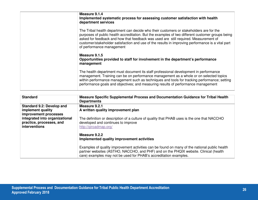| Measure 9.1.4<br>Implemented systematic process for assessing customer satisfaction with health<br>department services                                                                                                                                                                                                                                                                                                |
|-----------------------------------------------------------------------------------------------------------------------------------------------------------------------------------------------------------------------------------------------------------------------------------------------------------------------------------------------------------------------------------------------------------------------|
| The Tribal health department can decide who their customers or stakeholders are for the<br>purposes of public health accreditation. But the examples of two different customer groups being<br>asked for feedback and how that feedback was used are still required. Measurement of<br>customer/stakeholder satisfaction and use of the results in improving performance is a vital part<br>of performance management |
| Measure 9.1.5<br>Opportunities provided to staff for involvement in the department's performance<br>management                                                                                                                                                                                                                                                                                                        |
| The health department must document its staff professional development in performance<br>management. Training can be on performance management as a whole or on selected topics<br>within performance management such as techniques and tools for tracking performance; setting<br>performance goals and objectives; and measuring results of performance management                                                  |

| <b>Standard</b>                                                                | Measure Specific Supplemental Process and Documentation Guidance for Tribal Health<br><b>Departments</b>                                                                                                                                                   |
|--------------------------------------------------------------------------------|------------------------------------------------------------------------------------------------------------------------------------------------------------------------------------------------------------------------------------------------------------|
| <b>Standard 9.2: Develop and</b><br>implement quality<br>improvement processes | Measure 9.2.1<br>A written quality improvement plan                                                                                                                                                                                                        |
| integrated into organizational<br>practice, processes, and<br>interventions    | The definition or description of a culture of quality that PHAB uses is the one that NACCHO<br>developed and continues to improve<br>http://giroadmap.org/                                                                                                 |
|                                                                                | Measure 9.2.2<br>Implemented quality improvement activities                                                                                                                                                                                                |
|                                                                                | Examples of quality improvement activities can be found on many of the national public health<br>partner websites (ASTHO, NACCHO, and PHF) and on the PHQIX website. Clinical (health<br>care) examples may not be used for PHAB's accreditation examples. |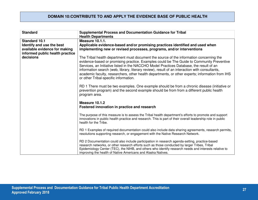### **DOMAIN 10:CONTRIBUTE TO AND APPLY THE EVIDENCE BASE OF PUBLIC HEALTH**

| <b>Standard</b>                 | <b>Supplemental Process and Documentation Guidance for Tribal</b><br><b>Health Departments</b>                                                                                                                                                                                                                                                                                                                                                                                                                                |
|---------------------------------|-------------------------------------------------------------------------------------------------------------------------------------------------------------------------------------------------------------------------------------------------------------------------------------------------------------------------------------------------------------------------------------------------------------------------------------------------------------------------------------------------------------------------------|
| <b>Standard 10.1</b>            | <b>Measure 10.1.1.</b>                                                                                                                                                                                                                                                                                                                                                                                                                                                                                                        |
| Identify and use the best       | Applicable evidence-based and/or promising practices identified and used when                                                                                                                                                                                                                                                                                                                                                                                                                                                 |
| available evidence for making   | implementing new or revised processes, programs, and/or interventions                                                                                                                                                                                                                                                                                                                                                                                                                                                         |
| informed public health practice |                                                                                                                                                                                                                                                                                                                                                                                                                                                                                                                               |
| decisions                       | The Tribal health department must document the source of the information concerning the<br>evidence-based or promising practice. Examples could be The Guide to Community Preventive<br>Services, an Initiative listed in the NACCHO Model Practices Database, the result of an<br>information search (web, library, literary review), result of an interaction with consultants,<br>academic faculty, researchers, other health departments, or other experts; information from IHS<br>or other Tribal-specific information. |
|                                 | RD 1 There must be two examples. One example should be from a chronic disease (initiative or<br>prevention program) and the second example should be from from a different public health<br>program area.                                                                                                                                                                                                                                                                                                                     |
|                                 | Measure 10.1.2                                                                                                                                                                                                                                                                                                                                                                                                                                                                                                                |
|                                 | Fostered innovation in practice and research                                                                                                                                                                                                                                                                                                                                                                                                                                                                                  |
|                                 | The purpose of this measure is to assess the Tribal health department's efforts to promote and support<br>innovations in public health practice and research. This is part of their overall leadership role in public<br>health for the Tribe.                                                                                                                                                                                                                                                                                |
|                                 | RD 1 Examples of required documentation could also include data sharing agreements, research permits,<br>resolutions supporting research, or engagement with the Native Research Network.                                                                                                                                                                                                                                                                                                                                     |
|                                 | RD 2 Documentation could also include participation in research agenda-setting, practice-based<br>research networks, or other research efforts such as those conducted by larger Tribes, Tribal<br>Epidemiology Center (TEC), the NIHB, and others who identify research needs and interests relative to<br>improving the health of Native Americans and Alaska Natives.                                                                                                                                                      |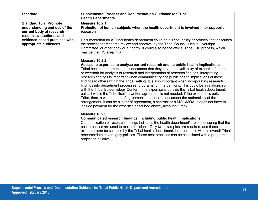| <b>Standard</b>                                                                                                                                                                  | <b>Supplemental Process and Documentation Guidance for Tribal</b><br><b>Health Departments</b>                                                                                                                                                                                                                                                                                                                                                                                                                                                                                                                                                                                                                                                                                                                                                                                                                                                                                                                                                                                 |
|----------------------------------------------------------------------------------------------------------------------------------------------------------------------------------|--------------------------------------------------------------------------------------------------------------------------------------------------------------------------------------------------------------------------------------------------------------------------------------------------------------------------------------------------------------------------------------------------------------------------------------------------------------------------------------------------------------------------------------------------------------------------------------------------------------------------------------------------------------------------------------------------------------------------------------------------------------------------------------------------------------------------------------------------------------------------------------------------------------------------------------------------------------------------------------------------------------------------------------------------------------------------------|
| <b>Standard 10.2: Promote</b><br>understanding and use of the<br>current body of research<br>results, evaluations, and<br>evidence-based practices with<br>appropriate audiences | Measure 10.2.1<br>Protection of human subjects when the health department is involved in or supports<br>research<br>Documentation for a Tribal health department could be a Tribal policy or protocol that describes<br>the process for research review and approval by the Tribal Council, Health Oversight<br>Committee, or other body or authority. It could also be the official Tribal IRB process, which<br>may be the IHS area IRB                                                                                                                                                                                                                                                                                                                                                                                                                                                                                                                                                                                                                                      |
|                                                                                                                                                                                  | Measure 10.2.2<br>Access to expertise to analyze current research and its public health implications<br>Tribal health departments must document that they have the availability of expertise (internal<br>or external) for analysis of research and interpretation of research findings. Interpreting<br>research findings is important when communicating the public health implications of those<br>findings to others within the Tribal setting. It is also important when incorporating research<br>findings into department processes, programs, or interventions. This could be a relationship<br>with the Tribal Epidemiology Center. If the expertise is outside the Tribal health department,<br>but still within the Tribe itself, a written agreement is not needed. If the expertise is outside the<br>Tribe, then, a written form of agreement is needed to document the authenticity of the<br>arrangement. It can be a letter of agreement, a contract or a MOU/MOA. It does not have to<br>include payment for the expertise described above, although it may. |
|                                                                                                                                                                                  | Measure 10.2.3<br>Communicated research findings, including public health implications<br>Communication of research findings indicates the health department's role in ensuring that the<br>best practices are used to make decisions. Only two examples are required, and those<br>examples can be selected by the Tribal health department, in accordance with its overall Tribal<br>research/data sovereignty policies. These best practices can be associated with a program,<br>project or initiative.                                                                                                                                                                                                                                                                                                                                                                                                                                                                                                                                                                    |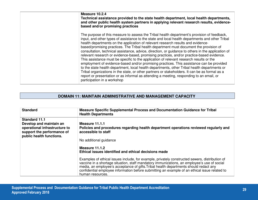| Measure 10.2.4<br>Technical assistance provided to the state health department, local health departments,<br>and other public health system partners in applying relevant research results, evidence-<br>based and/or promising practices                                                                                                                                                                                                                                                                                                                                                                                                                                                                                                                                                                                                                                                                                                                                                                                                                                                           |
|-----------------------------------------------------------------------------------------------------------------------------------------------------------------------------------------------------------------------------------------------------------------------------------------------------------------------------------------------------------------------------------------------------------------------------------------------------------------------------------------------------------------------------------------------------------------------------------------------------------------------------------------------------------------------------------------------------------------------------------------------------------------------------------------------------------------------------------------------------------------------------------------------------------------------------------------------------------------------------------------------------------------------------------------------------------------------------------------------------|
| The purpose of this measure to assess the Tribal health department's provision of feedback,<br>input, and other types of assistance to the state and local health departments and other Tribal<br>health departments on the application of relevant research results and evidence-<br>based/promising practices. The Tribal health department must document the provision of<br>consultation, technical assistance, advice, direction, or guidance to others in the application of<br>relevant research or evidence-based, promising practices, and/or practice-based evidence.<br>This assistance must be specific to the application of relevant research results or the<br>employment of evidence-based and/or promising practices. This assistance can be provided<br>to the state health department, local health departments, other Tribal health departments or<br>Tribal organizations in the state, or other partners or stakeholders. It can be as formal as a<br>report or presentation or as informal as attending a meeting, responding to an email, or<br>participation in a workshop |

# **DOMAIN 11: MAINTAIN ADMINISTRATIVE AND MANAGEMENT CAPACITY**

| <b>Standard</b>                                                                                                                            | <b>Measure Specific Supplemental Process and Documentation Guidance for Tribal</b><br><b>Health Departments</b>                                                                                                                                                                                                                                                                                             |
|--------------------------------------------------------------------------------------------------------------------------------------------|-------------------------------------------------------------------------------------------------------------------------------------------------------------------------------------------------------------------------------------------------------------------------------------------------------------------------------------------------------------------------------------------------------------|
| <b>Standard 11.1</b><br>Develop and maintain an<br>operational infrastructure to<br>support the performance of<br>public health functions. | Measure 11.1.1<br>Policies and procedures regarding health department operations reviewed regularly and<br>accessible to staff                                                                                                                                                                                                                                                                              |
|                                                                                                                                            | No additional guidance                                                                                                                                                                                                                                                                                                                                                                                      |
|                                                                                                                                            | Measure 11.1.2<br>Ethical issues identified and ethical decisions made                                                                                                                                                                                                                                                                                                                                      |
|                                                                                                                                            | Examples of ethical issues include, for example, privately constructed sewers, distribution of<br>vaccine in a shortage situation, staff mandatory immunizations, an employee's use of social<br>media, an employee's acceptance of gifts. Tribal health departments should redact any<br>confidential employee information before submitting an example of an ethical issue related to<br>human resources. |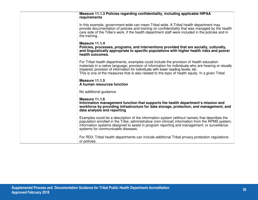| Measure 11.1.3 Policies regarding confidentiality, including applicable HIPAA<br>requirements                                                                                                                                                                                                                                                                                              |
|--------------------------------------------------------------------------------------------------------------------------------------------------------------------------------------------------------------------------------------------------------------------------------------------------------------------------------------------------------------------------------------------|
| In this example, government-wide can mean Tribal-wide. A Tribal health department may<br>provide documentation of policies and training on confidentiality that was managed by the health<br>care side of the Tribe's work, if the health department staff were included in the policies and in<br>the training.                                                                           |
| Measure 11.1.4<br>Policies, processes, programs, and interventions provided that are socially, culturally,<br>and linguistically appropriate to specific populations with higher health risks and poorer<br>health outcomes.                                                                                                                                                               |
| For Tribal health departments, examples could include the provision of health education<br>materials in a native language; provision of information for individuals who are hearing or visually<br>impaired; provision of information for individuals with lower reading levels; etc.<br>This is one of the measures that is also related to the topic of health equity. In a given Tribal |
| Measure 11.1.5<br>A human resources function                                                                                                                                                                                                                                                                                                                                               |
| No additional guidance.                                                                                                                                                                                                                                                                                                                                                                    |
| Measure 11.1.6<br>Information management function that supports the health department's mission and<br>workforce by providing infrastructure for data storage, protection, and management; and<br>data analysis and reporting                                                                                                                                                              |
| Examples could be a description of the information system (without names) that describes the<br>population enrolled in the Tribe; administrative (non-clinical) information from the RPMS system;<br>information systems designed to assist in program reporting and management; or surveillance<br>systems for communicable diseases.                                                     |
| For RD3, Tribal health departments can include additional Tribal privacy protection regulations<br>or policies.                                                                                                                                                                                                                                                                            |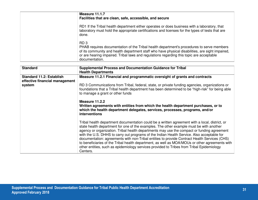| Measure 11.1.7<br>Facilities that are clean, safe, accessible, and secure                                                                                                                                                                                                                                                      |
|--------------------------------------------------------------------------------------------------------------------------------------------------------------------------------------------------------------------------------------------------------------------------------------------------------------------------------|
| RD1 If the Tribal health department either operates or does business with a laboratory, that<br>laboratory must hold the appropriate certifications and licenses for the types of tests that are<br>done.                                                                                                                      |
| RD <sub>3</sub><br>PHAB requires documentation of the Tribal health department's procedures to serve members<br>of its community and health department staff who have physical disabilities, are sight impaired,<br>or are hearing impaired. Tribal laws and regulations regarding this topic are acceptable<br>documentation. |

| <b>Standard</b>                 | <b>Supplemental Process and Documentation Guidance for Tribal</b><br><b>Health Departments</b>                                                                                                                                                                                                                                                                                                                                                                                                                                                                                                                                                                                                   |
|---------------------------------|--------------------------------------------------------------------------------------------------------------------------------------------------------------------------------------------------------------------------------------------------------------------------------------------------------------------------------------------------------------------------------------------------------------------------------------------------------------------------------------------------------------------------------------------------------------------------------------------------------------------------------------------------------------------------------------------------|
| <b>Standard 11.2: Establish</b> | Measure 11.2.1 Financial and programmatic oversight of grants and contracts                                                                                                                                                                                                                                                                                                                                                                                                                                                                                                                                                                                                                      |
| effective financial management  |                                                                                                                                                                                                                                                                                                                                                                                                                                                                                                                                                                                                                                                                                                  |
| system                          | RD 3 Communications from Tribal, federal, state, or private funding agencies, organizations or<br>foundations that a Tribal health department has been determined to be "high-risk" for being able<br>to manage a grant or other funds                                                                                                                                                                                                                                                                                                                                                                                                                                                           |
|                                 | Measure 11.2.2<br>Written agreements with entities from which the health department purchases, or to<br>which the health department delegates, services, processes, programs, and/or<br>interventions                                                                                                                                                                                                                                                                                                                                                                                                                                                                                            |
|                                 | Tribal health department documentation could be a written agreement with a local, district, or<br>state health department for one of the examples. The other example must be with another<br>agency or organization. Tribal health departments may use the compact or funding agreement<br>with the U.S. DHHS to carry out programs of the Indian Health Service. Also acceptable for<br>documentation: agreements with non-Tribal entities to provide Contract Health Services (CHS)<br>to beneficiaries of the Tribal health department, as well as MOA/MOUs or other agreements with<br>other entities, such as epidemiology services provided to Tribes from Tribal Epidemiology<br>Centers. |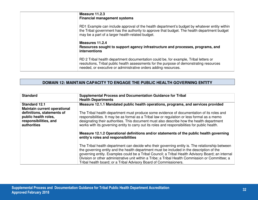| Measure 11.2.3<br><b>Financial management systems</b>                                                                                                                                                                                               |
|-----------------------------------------------------------------------------------------------------------------------------------------------------------------------------------------------------------------------------------------------------|
| RD1 Example can include approval of the health department's budget by whatever entity within<br>the Tribal government has the authority to approve that budget. The health department budget<br>may be a part of a larger health-related budget.    |
| Measures 11.2.4<br>Resources sought to support agency infrastructure and processes, programs, and<br>interventions                                                                                                                                  |
| RD 2 Tribal health department documentation could be, for example, Tribal letters or<br>resolutions, Tribal public health assessments for the purpose of demonstrating resources<br>needed, or executive or administrative orders adding resources. |

## **DOMAIN 12: MAINTAIN CAPACITY TO ENGAGE THE PUBLIC HEALTH GOVERNING ENTITY**

| <b>Standard</b>                                                                            | <b>Supplemental Process and Documentation Guidance for Tribal</b><br><b>Health Departments</b>                                                                                                                                                                                                                                                                                                                                                                             |
|--------------------------------------------------------------------------------------------|----------------------------------------------------------------------------------------------------------------------------------------------------------------------------------------------------------------------------------------------------------------------------------------------------------------------------------------------------------------------------------------------------------------------------------------------------------------------------|
| <b>Standard 12.1</b><br><b>Maintain current operational</b>                                | Measure 12.1.1 Mandated public health operations, programs, and services provided                                                                                                                                                                                                                                                                                                                                                                                          |
| definitions, statements of<br>public health roles,<br>responsibilities, and<br>authorities | The Tribal health department must produce some evidence of documentation of its roles and<br>responsibilities. It may be as formal as a Tribal law or regulation or less formal as a memo<br>designating their authorities. This document must also describe how the health department<br>works with its governing entity to carry out its roles and responsibilities for public health.                                                                                   |
|                                                                                            | Measure 12.1.2 Operational definitions and/or statements of the public health governing<br>entity's roles and responsibilities                                                                                                                                                                                                                                                                                                                                             |
|                                                                                            | The Tribal health department can decide who their governing entity is. The relationship between<br>the governing entity and the health department must be included in the description of the<br>governing entity. Examples could be a Tribal Council; a Tribal Health Advisory Board; an internal<br>Division or other administrative unit within a Tribe; a Tribal Health Commission or Committee; a<br>Tribal health board; or a Tribal Advisory Board of Commissioners. |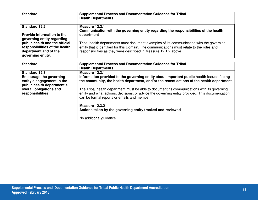| <b>Standard</b>                                                                           | <b>Supplemental Process and Documentation Guidance for Tribal</b><br><b>Health Departments</b>                                                                                                                                                             |
|-------------------------------------------------------------------------------------------|------------------------------------------------------------------------------------------------------------------------------------------------------------------------------------------------------------------------------------------------------------|
| <b>Standard 12.2</b>                                                                      | Measure 12.2.1<br>Communication with the governing entity regarding the responsibilities of the health                                                                                                                                                     |
| Provide information to the<br>governing entity regarding                                  | department                                                                                                                                                                                                                                                 |
| public health and the official<br>responsibilities of the health<br>department and of the | Tribal health departments must document examples of its communication with the governing<br>entity that it identified for this Domain. The communications must relate to the roles and<br>responsibilities as they were described in Measure 12.1.2 above. |
| governing entity.                                                                         |                                                                                                                                                                                                                                                            |

| <b>Standard</b>                                                                                                    | <b>Supplemental Process and Documentation Guidance for Tribal</b><br><b>Health Departments</b>                                                                                                                                               |
|--------------------------------------------------------------------------------------------------------------------|----------------------------------------------------------------------------------------------------------------------------------------------------------------------------------------------------------------------------------------------|
| <b>Standard 12.3</b><br><b>Encourage the governing</b><br>entity's engagement in the<br>public health department's | Measure 12.3.1<br>Information provided to the governing entity about important public health issues facing<br>the community, the health department, and/or the recent actions of the health department                                       |
| overall obligations and<br>responsibilities                                                                        | The Tribal health department must be able to document its communications with its governing<br>entity and what actions, decisions, or advice the governing entity provided. This documentation<br>can be formal reports or emails and memos. |
|                                                                                                                    | Measure 12.3.2<br>Actions taken by the governing entity tracked and reviewed                                                                                                                                                                 |
|                                                                                                                    | No additional guidance.                                                                                                                                                                                                                      |